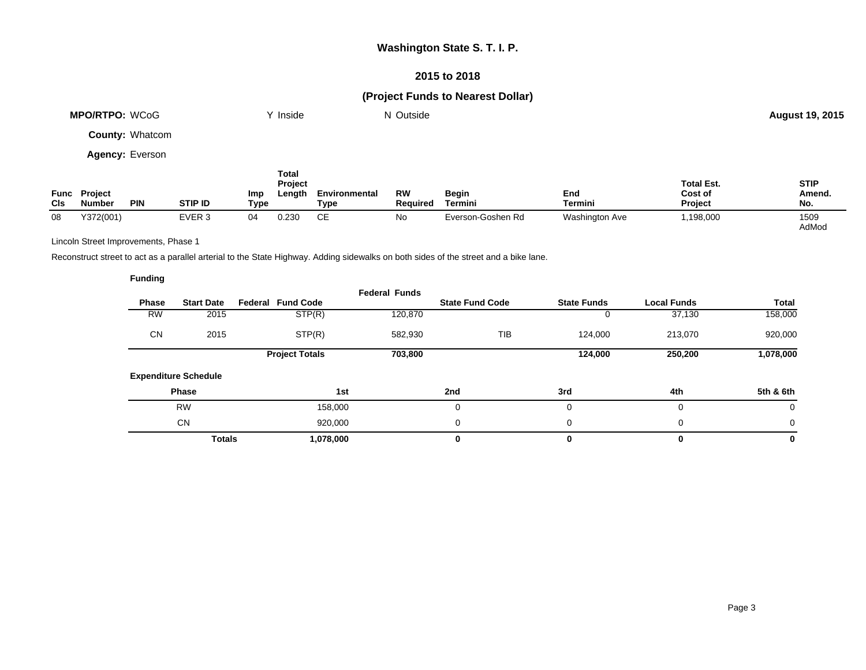## **Washington State S. T. I. P.**

#### **2015 to 2018**

# **(Project Funds to Nearest Dollar)**

|                    | <b>MPO/RTPO: WCoG</b>           |                        |                              | Inside                                    |                       | N Outside                    |                         |                |                                                | <b>August 19, 2015</b>       |
|--------------------|---------------------------------|------------------------|------------------------------|-------------------------------------------|-----------------------|------------------------------|-------------------------|----------------|------------------------------------------------|------------------------------|
|                    |                                 | <b>County: Whatcom</b> |                              |                                           |                       |                              |                         |                |                                                |                              |
|                    |                                 | <b>Agency: Everson</b> |                              |                                           |                       |                              |                         |                |                                                |                              |
| Func<br><b>CIs</b> | <b>Project</b><br><b>Number</b> | <b>PIN</b>             | <b>Imp</b><br><b>STIP ID</b> | <b>Total</b><br>Project<br>Length<br>Type | Environmental<br>Type | <b>RW</b><br><b>Required</b> | <b>Begin</b><br>Termini | End<br>Termini | <b>Total Est.</b><br>Cost of<br><b>Project</b> | <b>STIP</b><br>Amend.<br>No. |

08 Y372(001) EVER 3 04 0.230 CE No Everson-Goshen Rd Washington Ave 1,198,000 1509

Lincoln Street Improvements, Phase 1

Reconstruct street to act as a parallel arterial to the State Highway. Adding sidewalks on both sides of the street and a bike lane.

| <b>Funding</b> |                             |                             |                      |                        |                    |                    |              |
|----------------|-----------------------------|-----------------------------|----------------------|------------------------|--------------------|--------------------|--------------|
| <b>Phase</b>   | <b>Start Date</b>           | <b>Fund Code</b><br>Federal | <b>Federal Funds</b> | <b>State Fund Code</b> | <b>State Funds</b> | <b>Local Funds</b> | <b>Total</b> |
| <b>RW</b>      | 2015                        | STP(R)                      | 120,870              |                        | 0                  | 37,130             | 158,000      |
| <b>CN</b>      | 2015                        | STP(R)                      | 582,930              | TIB                    | 124,000            | 213,070            | 920,000      |
|                |                             | <b>Project Totals</b>       | 703,800              |                        | 124,000            | 250,200            | 1,078,000    |
|                | <b>Expenditure Schedule</b> |                             |                      |                        |                    |                    |              |
|                | <b>Phase</b>                |                             | 1st                  | 2nd                    | 3rd                | 4th                | 5th & 6th    |
|                | <b>RW</b>                   | 158,000                     |                      | 0                      | 0                  | $\mathbf 0$        | 0            |
|                | <b>CN</b>                   | 920,000                     |                      | $\Omega$               | 0                  | 0                  | 0            |
|                | <b>Totals</b>               | 1,078,000                   |                      | 0                      | 0                  | 0                  | 0            |

AdMod